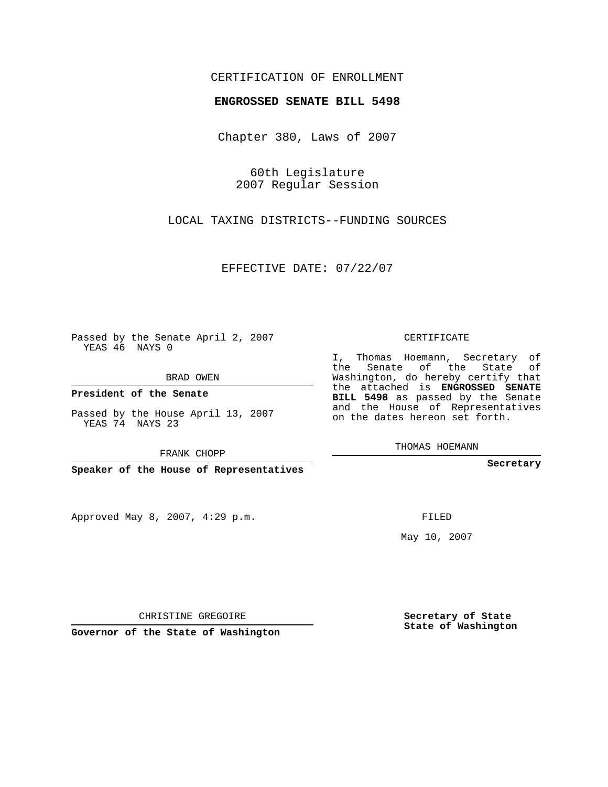## CERTIFICATION OF ENROLLMENT

## **ENGROSSED SENATE BILL 5498**

Chapter 380, Laws of 2007

60th Legislature 2007 Regular Session

LOCAL TAXING DISTRICTS--FUNDING SOURCES

EFFECTIVE DATE: 07/22/07

Passed by the Senate April 2, 2007 YEAS 46 NAYS 0

BRAD OWEN

**President of the Senate**

Passed by the House April 13, 2007 YEAS 74 NAYS 23

FRANK CHOPP

**Speaker of the House of Representatives**

Approved May 8, 2007, 4:29 p.m.

CERTIFICATE

I, Thomas Hoemann, Secretary of the Senate of the State of Washington, do hereby certify that the attached is **ENGROSSED SENATE BILL 5498** as passed by the Senate and the House of Representatives on the dates hereon set forth.

THOMAS HOEMANN

**Secretary**

FILED

May 10, 2007

**Secretary of State State of Washington**

CHRISTINE GREGOIRE

**Governor of the State of Washington**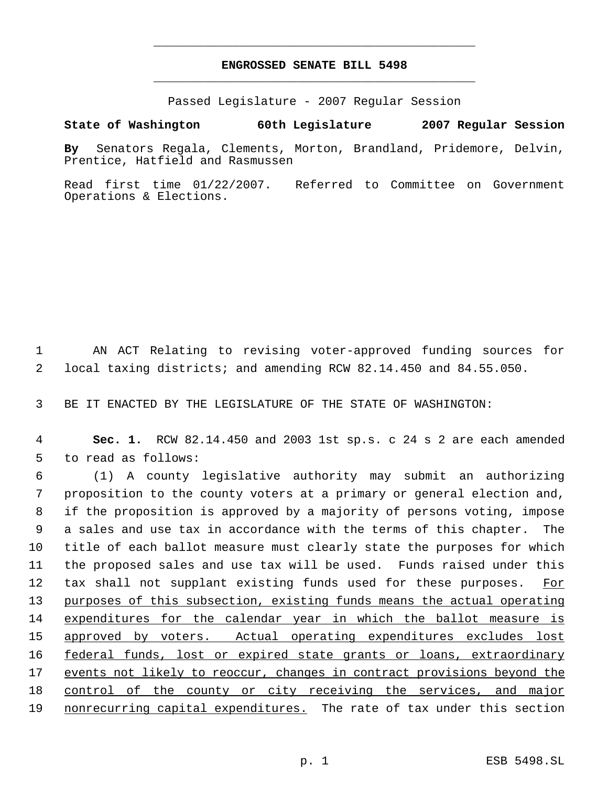## **ENGROSSED SENATE BILL 5498** \_\_\_\_\_\_\_\_\_\_\_\_\_\_\_\_\_\_\_\_\_\_\_\_\_\_\_\_\_\_\_\_\_\_\_\_\_\_\_\_\_\_\_\_\_

\_\_\_\_\_\_\_\_\_\_\_\_\_\_\_\_\_\_\_\_\_\_\_\_\_\_\_\_\_\_\_\_\_\_\_\_\_\_\_\_\_\_\_\_\_

Passed Legislature - 2007 Regular Session

## **State of Washington 60th Legislature 2007 Regular Session**

**By** Senators Regala, Clements, Morton, Brandland, Pridemore, Delvin, Prentice, Hatfield and Rasmussen

Read first time 01/22/2007. Referred to Committee on Government Operations & Elections.

 1 AN ACT Relating to revising voter-approved funding sources for 2 local taxing districts; and amending RCW 82.14.450 and 84.55.050.

3 BE IT ENACTED BY THE LEGISLATURE OF THE STATE OF WASHINGTON:

 4 **Sec. 1.** RCW 82.14.450 and 2003 1st sp.s. c 24 s 2 are each amended 5 to read as follows:

 (1) A county legislative authority may submit an authorizing proposition to the county voters at a primary or general election and, if the proposition is approved by a majority of persons voting, impose a sales and use tax in accordance with the terms of this chapter. The title of each ballot measure must clearly state the purposes for which the proposed sales and use tax will be used. Funds raised under this 12 tax shall not supplant existing funds used for these purposes. For purposes of this subsection, existing funds means the actual operating expenditures for the calendar year in which the ballot measure is 15 approved by voters. Actual operating expenditures excludes lost federal funds, lost or expired state grants or loans, extraordinary events not likely to reoccur, changes in contract provisions beyond the 18 control of the county or city receiving the services, and major 19 nonrecurring capital expenditures. The rate of tax under this section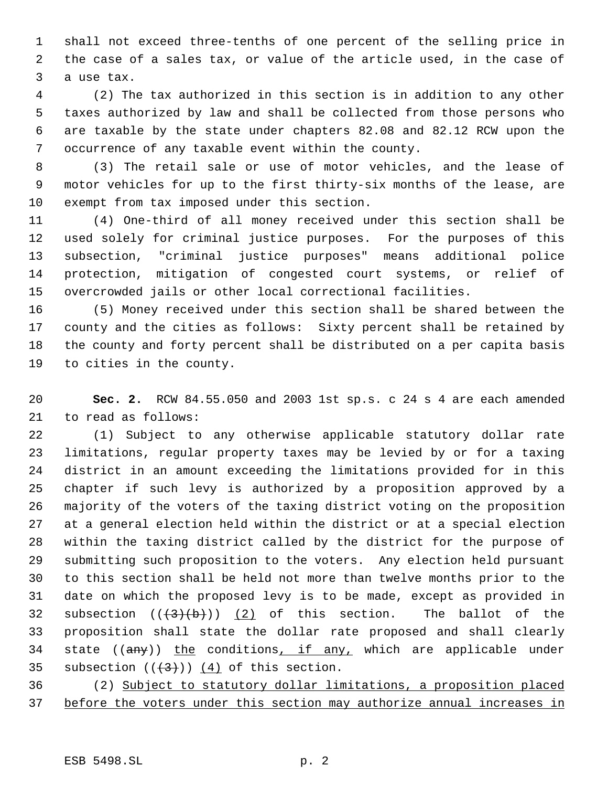shall not exceed three-tenths of one percent of the selling price in the case of a sales tax, or value of the article used, in the case of a use tax.

 (2) The tax authorized in this section is in addition to any other taxes authorized by law and shall be collected from those persons who are taxable by the state under chapters 82.08 and 82.12 RCW upon the occurrence of any taxable event within the county.

 (3) The retail sale or use of motor vehicles, and the lease of motor vehicles for up to the first thirty-six months of the lease, are exempt from tax imposed under this section.

 (4) One-third of all money received under this section shall be used solely for criminal justice purposes. For the purposes of this subsection, "criminal justice purposes" means additional police protection, mitigation of congested court systems, or relief of overcrowded jails or other local correctional facilities.

 (5) Money received under this section shall be shared between the county and the cities as follows: Sixty percent shall be retained by the county and forty percent shall be distributed on a per capita basis to cities in the county.

 **Sec. 2.** RCW 84.55.050 and 2003 1st sp.s. c 24 s 4 are each amended to read as follows:

 (1) Subject to any otherwise applicable statutory dollar rate limitations, regular property taxes may be levied by or for a taxing district in an amount exceeding the limitations provided for in this chapter if such levy is authorized by a proposition approved by a majority of the voters of the taxing district voting on the proposition at a general election held within the district or at a special election within the taxing district called by the district for the purpose of submitting such proposition to the voters. Any election held pursuant to this section shall be held not more than twelve months prior to the date on which the proposed levy is to be made, except as provided in 32 subsection  $((+3)(b))$   $(2)$  of this section. The ballot of the proposition shall state the dollar rate proposed and shall clearly 34 state ((any)) the conditions, if any, which are applicable under 35 subsection  $((+3))$   $(4)$  of this section.

 (2) Subject to statutory dollar limitations, a proposition placed 37 before the voters under this section may authorize annual increases in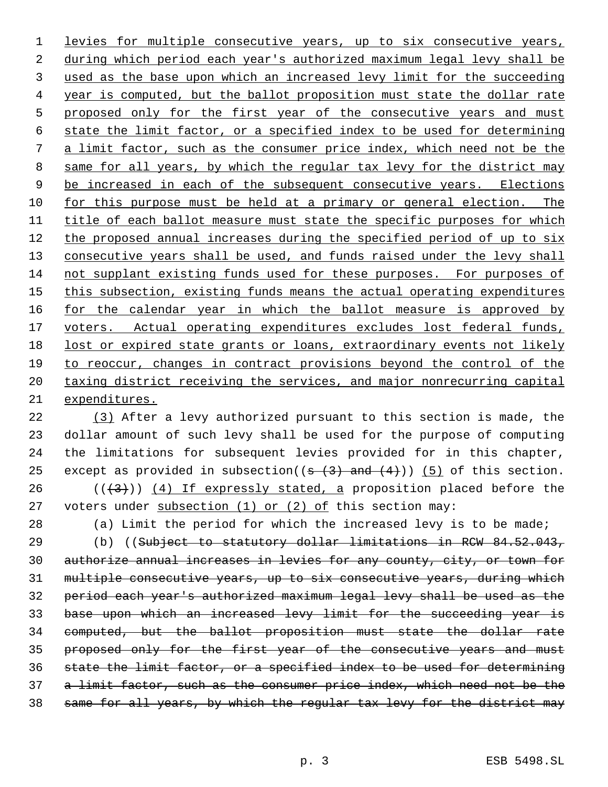levies for multiple consecutive years, up to six consecutive years, during which period each year's authorized maximum legal levy shall be used as the base upon which an increased levy limit for the succeeding year is computed, but the ballot proposition must state the dollar rate 5 proposed only for the first year of the consecutive years and must state the limit factor, or a specified index to be used for determining a limit factor, such as the consumer price index, which need not be the 8 same for all years, by which the regular tax levy for the district may 9 be increased in each of the subsequent consecutive years. Elections for this purpose must be held at a primary or general election. The title of each ballot measure must state the specific purposes for which 12 the proposed annual increases during the specified period of up to six 13 consecutive years shall be used, and funds raised under the levy shall not supplant existing funds used for these purposes. For purposes of 15 this subsection, existing funds means the actual operating expenditures 16 for the calendar year in which the ballot measure is approved by 17 voters. Actual operating expenditures excludes lost federal funds, 18 lost or expired state grants or loans, extraordinary events not likely to reoccur, changes in contract provisions beyond the control of the 20 taxing district receiving the services, and major nonrecurring capital expenditures.

 (3) After a levy authorized pursuant to this section is made, the dollar amount of such levy shall be used for the purpose of computing the limitations for subsequent levies provided for in this chapter, 25 except as provided in subsection( $(s-(3)$  and  $(4)$ )) (5) of this section. 26 ( $(\frac{43}{})$ ) (4) If expressly stated, a proposition placed before the 27 voters under subsection  $(1)$  or  $(2)$  of this section may:

(a) Limit the period for which the increased levy is to be made;

 (b) ((Subject to statutory dollar limitations in RCW 84.52.043, authorize annual increases in levies for any county, city, or town for multiple consecutive years, up to six consecutive years, during which period each year's authorized maximum legal levy shall be used as the base upon which an increased levy limit for the succeeding year is computed, but the ballot proposition must state the dollar rate proposed only for the first year of the consecutive years and must state the limit factor, or a specified index to be used for determining 37 a limit factor, such as the consumer price index, which need not be the same for all years, by which the regular tax levy for the district may